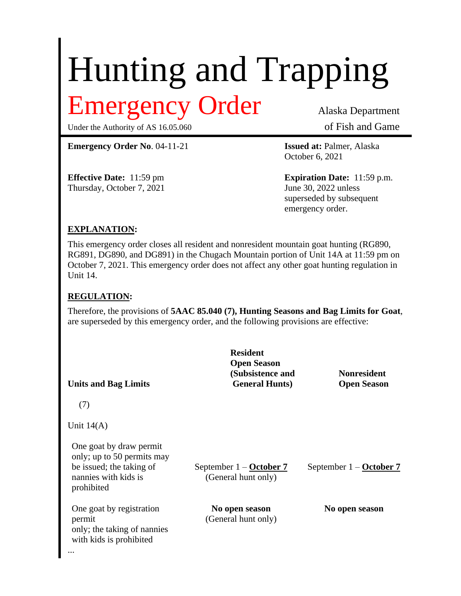# Hunting and Trapping

# Emergency Order Alaska Department

Under the Authority of AS 16.05.060 of Fish and Game

**Emergency Order No**. 04-11-21 **Issued at:** Palmer, Alaska

Thursday, October 7, 2021 June 30, 2022 unless

October 6, 2021

**Effective Date:** 11:59 pm **Expiration Date:** 11:59 p.m. superseded by subsequent emergency order.

### **EXPLANATION:**

This emergency order closes all resident and nonresident mountain goat hunting (RG890, RG891, DG890, and DG891) in the Chugach Mountain portion of Unit 14A at 11:59 pm on October 7, 2021. This emergency order does not affect any other goat hunting regulation in Unit 14.

## **REGULATION:**

Therefore, the provisions of **5AAC 85.040 (7), Hunting Seasons and Bag Limits for Goat**, are superseded by this emergency order, and the following provisions are effective:

| <b>Resident</b><br><b>Open Season</b><br>(Subsistence and<br><b>General Hunts</b> ) | <b>Nonresident</b><br><b>Open Season</b> |
|-------------------------------------------------------------------------------------|------------------------------------------|
|                                                                                     |                                          |
|                                                                                     |                                          |
| September $1 -$ October 7<br>(General hunt only)                                    | September $1 -$ October 7                |
| No open season<br>(General hunt only)                                               | No open season                           |
|                                                                                     |                                          |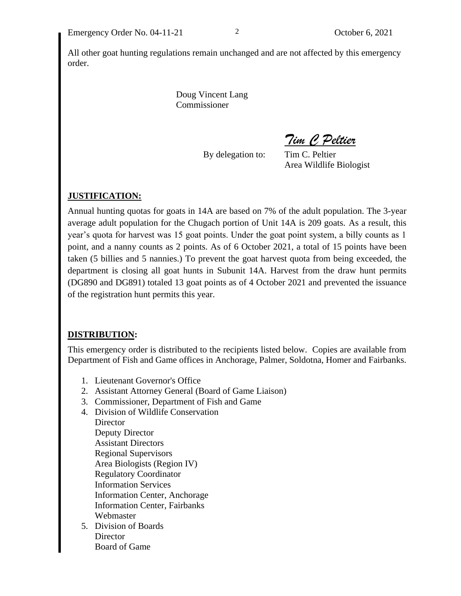All other goat hunting regulations remain unchanged and are not affected by this emergency order.

> Doug Vincent Lang Commissioner

> > By delegation to: Tim C. Peltier

*Tim C Peltier*

Area Wildlife Biologist

#### **JUSTIFICATION:**

Annual hunting quotas for goats in 14A are based on 7% of the adult population. The 3-year average adult population for the Chugach portion of Unit 14A is 209 goats. As a result, this year's quota for harvest was 15 goat points. Under the goat point system, a billy counts as 1 point, and a nanny counts as 2 points. As of 6 October 2021, a total of 15 points have been taken (5 billies and 5 nannies.) To prevent the goat harvest quota from being exceeded, the department is closing all goat hunts in Subunit 14A. Harvest from the draw hunt permits (DG890 and DG891) totaled 13 goat points as of 4 October 2021 and prevented the issuance of the registration hunt permits this year.

#### **DISTRIBUTION:**

This emergency order is distributed to the recipients listed below. Copies are available from Department of Fish and Game offices in Anchorage, Palmer, Soldotna, Homer and Fairbanks.

- 1. Lieutenant Governor's Office
- 2. Assistant Attorney General (Board of Game Liaison)
- 3. Commissioner, Department of Fish and Game
- 4. Division of Wildlife Conservation **Director** Deputy Director Assistant Directors Regional Supervisors Area Biologists (Region IV) Regulatory Coordinator Information Services Information Center, Anchorage Information Center, Fairbanks Webmaster
- 5. Division of Boards **Director** Board of Game